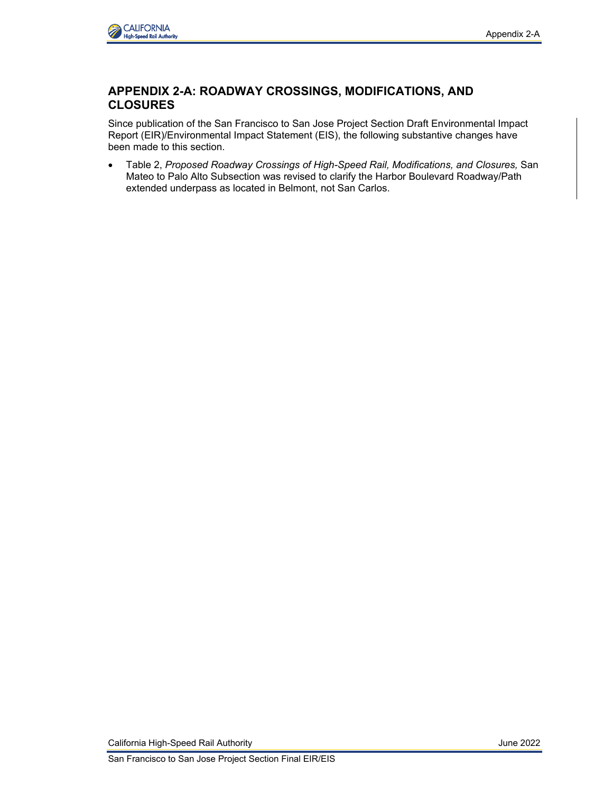

## **APPENDIX 2-A: ROADWAY CROSSINGS, MODIFICATIONS, AND CLOSURES**

Since publication of the San Francisco to San Jose Project Section Draft Environmental Impact Report (EIR)/Environmental Impact Statement (EIS), the following substantive changes have been made to this section.

• Table 2, *Proposed Roadway Crossings of High-Speed Rail, Modifications, and Closures,* San Mateo to Palo Alto Subsection was revised to clarify the Harbor Boulevard Roadway/Path extended underpass as located in Belmont, not San Carlos.

California High-Speed Rail Authority **California High-Speed Rail Authority** June 2022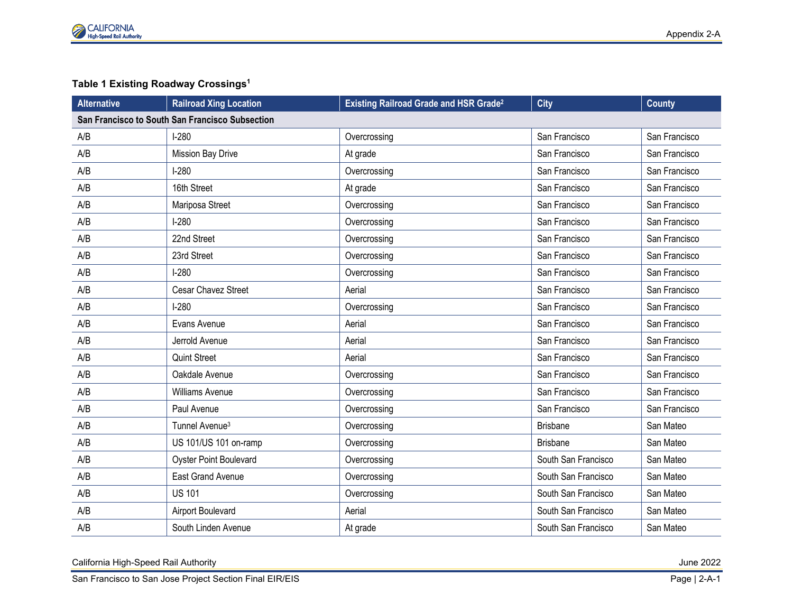

## **Table 1 Existing Roadway Crossings<sup>1</sup>**

| <b>Alternative</b> | <b>Railroad Xing Location</b>                   | <b>Existing Railroad Grade and HSR Grade<sup>2</sup></b> | <b>City</b>         | <b>County</b> |
|--------------------|-------------------------------------------------|----------------------------------------------------------|---------------------|---------------|
|                    | San Francisco to South San Francisco Subsection |                                                          |                     |               |
| A/B                | $I-280$                                         | Overcrossing                                             | San Francisco       | San Francisco |
| A/B                | <b>Mission Bay Drive</b>                        | At grade                                                 | San Francisco       | San Francisco |
| A/B                | L280                                            | Overcrossing                                             | San Francisco       | San Francisco |
| A/B                | 16th Street                                     | At grade                                                 | San Francisco       | San Francisco |
| A/B                | Mariposa Street                                 | Overcrossing                                             | San Francisco       | San Francisco |
| A/B                | $I-280$                                         | Overcrossing                                             | San Francisco       | San Francisco |
| A/B                | 22nd Street                                     | Overcrossing                                             | San Francisco       | San Francisco |
| A/B                | 23rd Street                                     | Overcrossing                                             | San Francisco       | San Francisco |
| A/B                | $I-280$                                         | Overcrossing                                             | San Francisco       | San Francisco |
| A/B                | <b>Cesar Chavez Street</b>                      | Aerial                                                   | San Francisco       | San Francisco |
| A/B                | $I-280$                                         | Overcrossing                                             | San Francisco       | San Francisco |
| A/B                | Evans Avenue                                    | Aerial                                                   | San Francisco       | San Francisco |
| A/B                | Jerrold Avenue                                  | Aerial                                                   | San Francisco       | San Francisco |
| A/B                | <b>Quint Street</b>                             | Aerial                                                   | San Francisco       | San Francisco |
| A/B                | Oakdale Avenue                                  | Overcrossing                                             | San Francisco       | San Francisco |
| A/B                | <b>Williams Avenue</b>                          | Overcrossing                                             | San Francisco       | San Francisco |
| A/B                | Paul Avenue                                     | Overcrossing                                             | San Francisco       | San Francisco |
| A/B                | Tunnel Avenue <sup>3</sup>                      | Overcrossing                                             | <b>Brisbane</b>     | San Mateo     |
| A/B                | US 101/US 101 on-ramp                           | Overcrossing                                             | <b>Brisbane</b>     | San Mateo     |
| A/B                | <b>Oyster Point Boulevard</b>                   | Overcrossing                                             | South San Francisco | San Mateo     |
| A/B                | East Grand Avenue                               | Overcrossing                                             | South San Francisco | San Mateo     |
| A/B                | <b>US 101</b>                                   | Overcrossing                                             | South San Francisco | San Mateo     |
| A/B                | Airport Boulevard                               | Aerial                                                   | South San Francisco | San Mateo     |
| A/B                | South Linden Avenue                             | At grade                                                 | South San Francisco | San Mateo     |

California High-Speed Rail Authority June 2022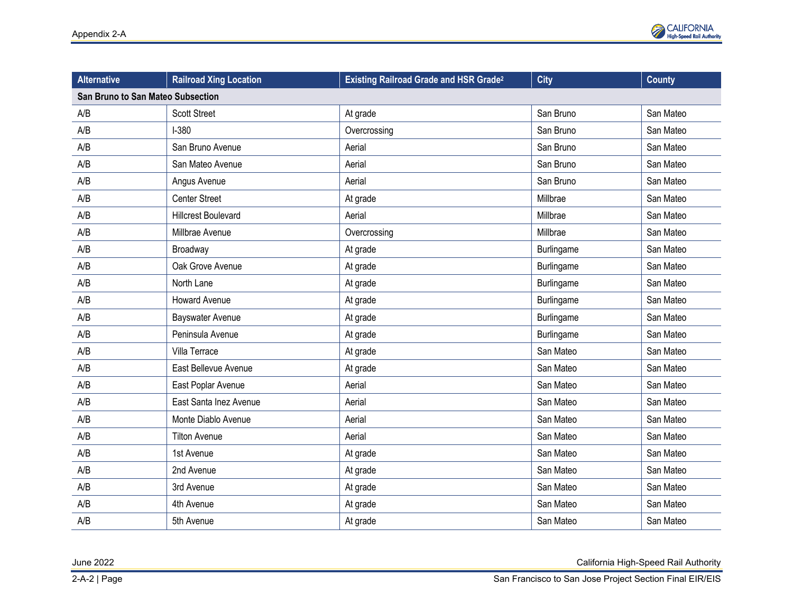

| <b>Alternative</b>                | <b>Railroad Xing Location</b> | Existing Railroad Grade and HSR Grade <sup>2</sup> | <b>City</b> | <b>County</b> |
|-----------------------------------|-------------------------------|----------------------------------------------------|-------------|---------------|
| San Bruno to San Mateo Subsection |                               |                                                    |             |               |
| A/B                               | <b>Scott Street</b>           | At grade                                           | San Bruno   | San Mateo     |
| A/B                               | $1 - 380$                     | Overcrossing                                       | San Bruno   | San Mateo     |
| A/B                               | San Bruno Avenue              | Aerial                                             | San Bruno   | San Mateo     |
| A/B                               | San Mateo Avenue              | Aerial                                             | San Bruno   | San Mateo     |
| A/B                               | Angus Avenue                  | Aerial                                             | San Bruno   | San Mateo     |
| A/B                               | <b>Center Street</b>          | At grade                                           | Millbrae    | San Mateo     |
| A/B                               | <b>Hillcrest Boulevard</b>    | Aerial                                             | Millbrae    | San Mateo     |
| A/B                               | Millbrae Avenue               | Overcrossing                                       | Millbrae    | San Mateo     |
| A/B                               | Broadway                      | At grade                                           | Burlingame  | San Mateo     |
| A/B                               | Oak Grove Avenue              | At grade                                           | Burlingame  | San Mateo     |
| A/B                               | North Lane                    | At grade                                           | Burlingame  | San Mateo     |
| A/B                               | <b>Howard Avenue</b>          | At grade                                           | Burlingame  | San Mateo     |
| A/B                               | Bayswater Avenue              | At grade                                           | Burlingame  | San Mateo     |
| A/B                               | Peninsula Avenue              | At grade                                           | Burlingame  | San Mateo     |
| A/B                               | Villa Terrace                 | At grade                                           | San Mateo   | San Mateo     |
| A/B                               | East Bellevue Avenue          | At grade                                           | San Mateo   | San Mateo     |
| A/B                               | East Poplar Avenue            | Aerial                                             | San Mateo   | San Mateo     |
| A/B                               | East Santa Inez Avenue        | Aerial                                             | San Mateo   | San Mateo     |
| A/B                               | Monte Diablo Avenue           | Aerial                                             | San Mateo   | San Mateo     |
| A/B                               | <b>Tilton Avenue</b>          | Aerial                                             | San Mateo   | San Mateo     |
| A/B                               | 1st Avenue                    | At grade                                           | San Mateo   | San Mateo     |
| A/B                               | 2nd Avenue                    | At grade                                           | San Mateo   | San Mateo     |
| A/B                               | 3rd Avenue                    | At grade                                           | San Mateo   | San Mateo     |
| A/B                               | 4th Avenue                    | At grade                                           | San Mateo   | San Mateo     |
| A/B                               | 5th Avenue                    | At grade                                           | San Mateo   | San Mateo     |

June 2022 California High-Speed Rail Authority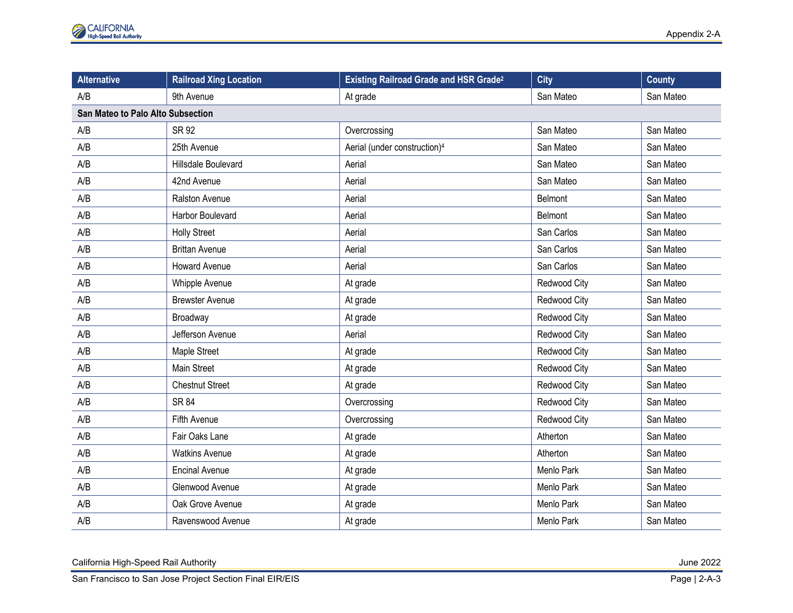| <b>Alternative</b>                | <b>Railroad Xing Location</b> | <b>Existing Railroad Grade and HSR Grade<sup>2</sup></b> | <b>City</b>    | <b>County</b> |
|-----------------------------------|-------------------------------|----------------------------------------------------------|----------------|---------------|
| A/B                               | 9th Avenue                    | At grade                                                 | San Mateo      | San Mateo     |
| San Mateo to Palo Alto Subsection |                               |                                                          |                |               |
| A/B                               | <b>SR 92</b>                  | Overcrossing                                             | San Mateo      | San Mateo     |
| A/B                               | 25th Avenue                   | Aerial (under construction) <sup>4</sup>                 | San Mateo      | San Mateo     |
| A/B                               | Hillsdale Boulevard           | Aerial                                                   | San Mateo      | San Mateo     |
| A/B                               | 42nd Avenue                   | Aerial                                                   | San Mateo      | San Mateo     |
| A/B                               | Ralston Avenue                | Aerial                                                   | <b>Belmont</b> | San Mateo     |
| A/B                               | Harbor Boulevard              | Aerial                                                   | <b>Belmont</b> | San Mateo     |
| A/B                               | <b>Holly Street</b>           | Aerial                                                   | San Carlos     | San Mateo     |
| A/B                               | <b>Brittan Avenue</b>         | Aerial                                                   | San Carlos     | San Mateo     |
| A/B                               | Howard Avenue                 | Aerial                                                   | San Carlos     | San Mateo     |
| A/B                               | Whipple Avenue                | At grade                                                 | Redwood City   | San Mateo     |
| A/B                               | <b>Brewster Avenue</b>        | At grade                                                 | Redwood City   | San Mateo     |
| A/B                               | Broadway                      | At grade                                                 | Redwood City   | San Mateo     |
| A/B                               | Jefferson Avenue              | Aerial                                                   | Redwood City   | San Mateo     |
| A/B                               | Maple Street                  | At grade                                                 | Redwood City   | San Mateo     |
| A/B                               | Main Street                   | At grade                                                 | Redwood City   | San Mateo     |
| A/B                               | <b>Chestnut Street</b>        | At grade                                                 | Redwood City   | San Mateo     |
| A/B                               | <b>SR 84</b>                  | Overcrossing                                             | Redwood City   | San Mateo     |
| A/B                               | Fifth Avenue                  | Overcrossing                                             | Redwood City   | San Mateo     |
| A/B                               | Fair Oaks Lane                | At grade                                                 | Atherton       | San Mateo     |
| A/B                               | <b>Watkins Avenue</b>         | At grade                                                 | Atherton       | San Mateo     |
| A/B                               | <b>Encinal Avenue</b>         | At grade                                                 | Menlo Park     | San Mateo     |
| A/B                               | Glenwood Avenue               | At grade                                                 | Menlo Park     | San Mateo     |
| A/B                               | Oak Grove Avenue              | At grade                                                 | Menlo Park     | San Mateo     |
| A/B                               | Ravenswood Avenue             | At grade                                                 | Menlo Park     | San Mateo     |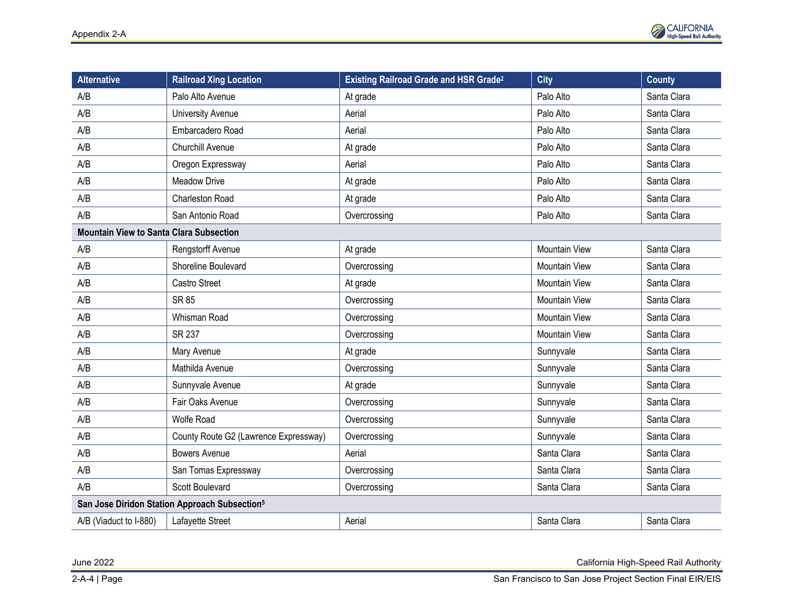

| <b>Alternative</b>                             | <b>Railroad Xing Location</b>                             | <b>Existing Railroad Grade and HSR Grade<sup>2</sup></b> | <b>City</b>          | <b>County</b> |
|------------------------------------------------|-----------------------------------------------------------|----------------------------------------------------------|----------------------|---------------|
| A/B                                            | Palo Alto Avenue                                          | At grade                                                 | Palo Alto            | Santa Clara   |
| A/B                                            | <b>University Avenue</b>                                  | Aerial                                                   | Palo Alto            | Santa Clara   |
| A/B                                            | Embarcadero Road                                          | Aerial                                                   | Palo Alto            | Santa Clara   |
| A/B                                            | Churchill Avenue                                          | At grade                                                 | Palo Alto            | Santa Clara   |
| A/B                                            | Oregon Expressway                                         | Aerial                                                   | Palo Alto            | Santa Clara   |
| A/B                                            | <b>Meadow Drive</b>                                       | At grade                                                 | Palo Alto            | Santa Clara   |
| A/B                                            | Charleston Road                                           | At grade                                                 | Palo Alto            | Santa Clara   |
| A/B                                            | San Antonio Road                                          | Overcrossing                                             | Palo Alto            | Santa Clara   |
| <b>Mountain View to Santa Clara Subsection</b> |                                                           |                                                          |                      |               |
| A/B                                            | Rengstorff Avenue                                         | At grade                                                 | Mountain View        | Santa Clara   |
| A/B                                            | Shoreline Boulevard                                       | Overcrossing                                             | Mountain View        | Santa Clara   |
| A/B                                            | <b>Castro Street</b>                                      | At grade                                                 | Mountain View        | Santa Clara   |
| A/B                                            | <b>SR 85</b>                                              | Overcrossing                                             | Mountain View        | Santa Clara   |
| A/B                                            | Whisman Road                                              | Overcrossing                                             | Mountain View        | Santa Clara   |
| A/B                                            | <b>SR 237</b>                                             | Overcrossing                                             | <b>Mountain View</b> | Santa Clara   |
| A/B                                            | Mary Avenue                                               | At grade                                                 | Sunnyvale            | Santa Clara   |
| A/B                                            | Mathilda Avenue                                           | Overcrossing                                             | Sunnyvale            | Santa Clara   |
| A/B                                            | Sunnyvale Avenue                                          | At grade                                                 | Sunnyvale            | Santa Clara   |
| A/B                                            | Fair Oaks Avenue                                          | Overcrossing                                             | Sunnyvale            | Santa Clara   |
| A/B                                            | <b>Wolfe Road</b>                                         | Overcrossing                                             | Sunnyvale            | Santa Clara   |
| A/B                                            | County Route G2 (Lawrence Expressway)                     | Overcrossing                                             | Sunnyvale            | Santa Clara   |
| A/B                                            | <b>Bowers Avenue</b>                                      | Aerial                                                   | Santa Clara          | Santa Clara   |
| A/B                                            | San Tomas Expressway                                      | Overcrossing                                             | Santa Clara          | Santa Clara   |
| A/B                                            | Scott Boulevard                                           | Overcrossing                                             | Santa Clara          | Santa Clara   |
|                                                | San Jose Diridon Station Approach Subsection <sup>5</sup> |                                                          |                      |               |
| A/B (Viaduct to I-880)                         | Lafayette Street                                          | Aerial                                                   | Santa Clara          | Santa Clara   |

June 2022 California High-Speed Rail Authority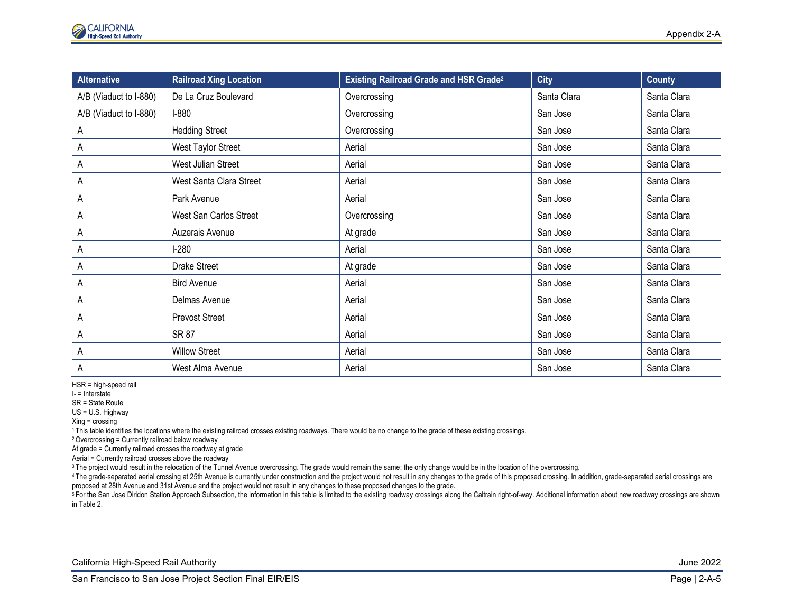| <b>Alternative</b>     | <b>Railroad Xing Location</b> | <b>Existing Railroad Grade and HSR Grade<sup>2</sup></b> | <b>City</b> | <b>County</b> |  |
|------------------------|-------------------------------|----------------------------------------------------------|-------------|---------------|--|
| A/B (Viaduct to I-880) | De La Cruz Boulevard          | Overcrossing                                             | Santa Clara | Santa Clara   |  |
| A/B (Viaduct to I-880) | $I-880$                       | Overcrossing                                             | San Jose    | Santa Clara   |  |
| $\mathsf{A}$           | <b>Hedding Street</b>         | Overcrossing                                             | San Jose    | Santa Clara   |  |
| $\mathsf{A}$           | West Taylor Street            | Aerial                                                   | San Jose    | Santa Clara   |  |
| A                      | West Julian Street            | Aerial                                                   | San Jose    | Santa Clara   |  |
| A                      | West Santa Clara Street       | Aerial                                                   | San Jose    | Santa Clara   |  |
| A                      | Park Avenue                   | Aerial                                                   | San Jose    | Santa Clara   |  |
| A                      | West San Carlos Street        | Overcrossing                                             | San Jose    | Santa Clara   |  |
| A                      | Auzerais Avenue               | At grade                                                 | San Jose    | Santa Clara   |  |
| A                      | $I-280$                       | Aerial                                                   | San Jose    | Santa Clara   |  |
| A                      | <b>Drake Street</b>           | At grade                                                 | San Jose    | Santa Clara   |  |
| A                      | <b>Bird Avenue</b>            | Aerial                                                   | San Jose    | Santa Clara   |  |
| A                      | Delmas Avenue                 | Aerial                                                   | San Jose    | Santa Clara   |  |
| A                      | <b>Prevost Street</b>         | Aerial                                                   | San Jose    | Santa Clara   |  |
| $\mathsf{A}$           | SR 87                         | Aerial                                                   | San Jose    | Santa Clara   |  |
| A                      | <b>Willow Street</b>          | Aerial                                                   | San Jose    | Santa Clara   |  |
| A                      | West Alma Avenue              | Aerial                                                   | San Jose    | Santa Clara   |  |

HSR = high-speed rail

 $I =$  Interstate

SR = State Route

US = U.S. Highway

Xing = crossing

<sup>1</sup>This table identifies the locations where the existing railroad crosses existing roadways. There would be no change to the grade of these existing crossings.

<sup>2</sup>Overcrossing = Currently railroad below roadway

At grade = Currently railroad crosses the roadway at grade

Aerial = Currently railroad crosses above the roadway

<sup>3</sup>The project would result in the relocation of the Tunnel Avenue overcrossing. The grade would remain the same; the only change would be in the location of the overcrossing.

<sup>4</sup>The grade-separated aerial crossing at 25th Avenue is currently under construction and the project would not result in any changes to the grade of this proposed crossing. In addition, grade-separated aerial crossings are proposed at 28th Avenue and 31st Avenue and the project would not result in any changes to these proposed changes to the grade.

<sup>5</sup> For the San Jose Diridon Station Approach Subsection, the information in this table is limited to the existing roadway crossings along the Caltrain right-of-way. Additional information about new roadway crossings are s in Table 2.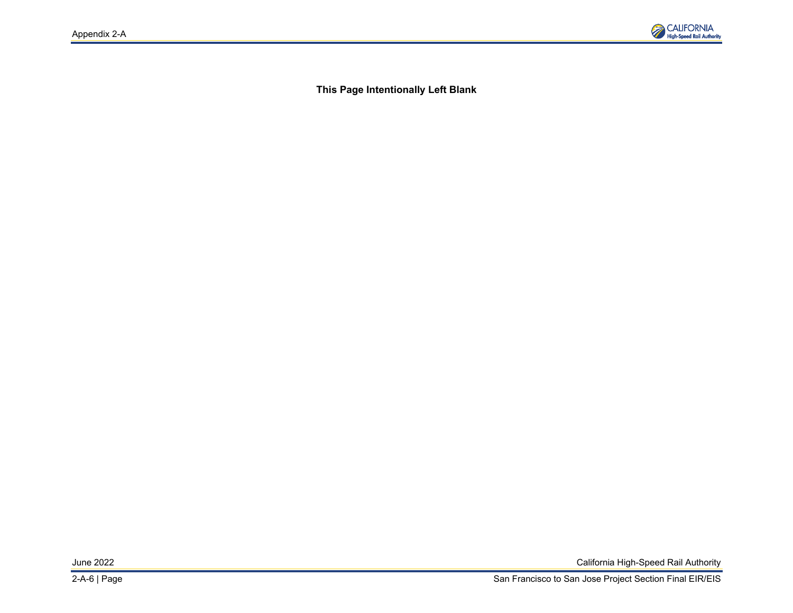

**This Page Intentionally Left Blank**

June 2022 California High-Speed Rail Authority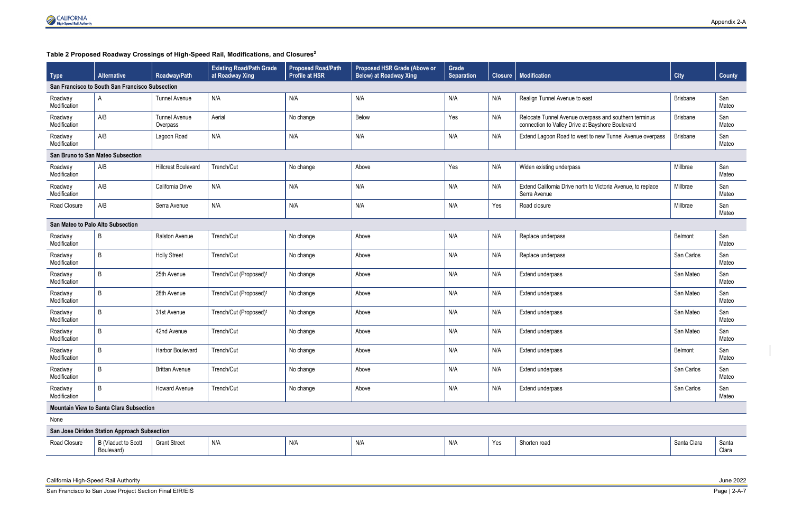## **Table 2 Proposed Roadway Crossings of High-Speed Rail, Modifications, and Closures<sup>2</sup>**

| <b>Type</b>             | <b>Alternative</b>                              | Roadway/Path                     | <b>Existing Road/Path Grade</b><br>at Roadway Xing | <b>Proposed Road/Path</b><br><b>Profile at HSR</b> | <b>Proposed HSR Grade (Above or</b><br><b>Below) at Roadway Xing</b> | Grade<br><b>Separation</b> |     | Closure   Modification                                                                                    | <b>City</b>     | <b>County</b>  |
|-------------------------|-------------------------------------------------|----------------------------------|----------------------------------------------------|----------------------------------------------------|----------------------------------------------------------------------|----------------------------|-----|-----------------------------------------------------------------------------------------------------------|-----------------|----------------|
|                         | San Francisco to South San Francisco Subsection |                                  |                                                    |                                                    |                                                                      |                            |     |                                                                                                           |                 |                |
| Roadway<br>Modification | A                                               | Tunnel Avenue                    | N/A                                                | N/A                                                | N/A                                                                  | N/A                        | N/A | Realign Tunnel Avenue to east                                                                             | <b>Brisbane</b> | San<br>Mateo   |
| Roadway<br>Modification | A/B                                             | <b>Tunnel Avenue</b><br>Overpass | Aerial                                             | No change                                          | Below                                                                | Yes                        | N/A | Relocate Tunnel Avenue overpass and southern terminus<br>connection to Valley Drive at Bayshore Boulevard | <b>Brisbane</b> | San<br>Mateo   |
| Roadway<br>Modification | A/B                                             | Lagoon Road                      | N/A                                                | N/A                                                | N/A                                                                  | N/A                        | N/A | Extend Lagoon Road to west to new Tunnel Avenue overpass                                                  | <b>Brisbane</b> | San<br>Mateo   |
|                         | San Bruno to San Mateo Subsection               |                                  |                                                    |                                                    |                                                                      |                            |     |                                                                                                           |                 |                |
| Roadway<br>Modification | A/B                                             | <b>Hillcrest Boulevard</b>       | Trench/Cut                                         | No change                                          | Above                                                                | Yes                        | N/A | Widen existing underpass                                                                                  | Millbrae        | San<br>Mateo   |
| Roadway<br>Modification | A/B                                             | California Drive                 | N/A                                                | N/A                                                | N/A                                                                  | N/A                        | N/A | Extend California Drive north to Victoria Avenue, to replace<br>Serra Avenue                              | Millbrae        | San<br>Mateo   |
| Road Closure            | A/B                                             | Serra Avenue                     | N/A                                                | N/A                                                | N/A                                                                  | N/A                        | Yes | Road closure                                                                                              | Millbrae        | San<br>Mateo   |
|                         | San Mateo to Palo Alto Subsection               |                                  |                                                    |                                                    |                                                                      |                            |     |                                                                                                           |                 |                |
| Roadway<br>Modification | B                                               | Ralston Avenue                   | Trench/Cut                                         | No change                                          | Above                                                                | N/A                        | N/A | Replace underpass                                                                                         | Belmont         | San<br>Mateo   |
| Roadway<br>Modification | B                                               | <b>Holly Street</b>              | Trench/Cut                                         | No change                                          | Above                                                                | N/A                        | N/A | Replace underpass                                                                                         | San Carlos      | San<br>Mateo   |
| Roadway<br>Modification | B                                               | 25th Avenue                      | Trench/Cut (Proposed) <sup>1</sup>                 | No change                                          | Above                                                                | N/A                        | N/A | Extend underpass                                                                                          | San Mateo       | San<br>Mateo   |
| Roadway<br>Modification | B                                               | 28th Avenue                      | Trench/Cut (Proposed) <sup>1</sup>                 | No change                                          | Above                                                                | N/A                        | N/A | Extend underpass                                                                                          | San Mateo       | San<br>Mateo   |
| Roadway<br>Modification | B                                               | 31st Avenue                      | Trench/Cut (Proposed) <sup>1</sup>                 | No change                                          | Above                                                                | N/A                        | N/A | Extend underpass                                                                                          | San Mateo       | San<br>Mateo   |
| Roadway<br>Modification | B                                               | 42nd Avenue                      | Trench/Cut                                         | No change                                          | Above                                                                | N/A                        | N/A | Extend underpass                                                                                          | San Mateo       | San<br>Mateo   |
| Roadway<br>Modification | $\sf B$                                         | Harbor Boulevard                 | Trench/Cut                                         | No change                                          | Above                                                                | N/A                        | N/A | Extend underpass                                                                                          | Belmont         | San<br>Mateo   |
| Roadway<br>Modification | $\sf B$                                         | <b>Brittan Avenue</b>            | Trench/Cut                                         | No change                                          | Above                                                                | N/A                        | N/A | Extend underpass                                                                                          | San Carlos      | San<br>Mateo   |
| Roadway<br>Modification | $\sf B$                                         | <b>Howard Avenue</b>             | Trench/Cut                                         | No change                                          | Above                                                                | N/A                        | N/A | Extend underpass                                                                                          | San Carlos      | San<br>Mateo   |
|                         | <b>Mountain View to Santa Clara Subsection</b>  |                                  |                                                    |                                                    |                                                                      |                            |     |                                                                                                           |                 |                |
| None                    |                                                 |                                  |                                                    |                                                    |                                                                      |                            |     |                                                                                                           |                 |                |
|                         | San Jose Diridon Station Approach Subsection    |                                  |                                                    |                                                    |                                                                      |                            |     |                                                                                                           |                 |                |
| Road Closure            | <b>B</b> (Viaduct to Scott<br>Boulevard)        | <b>Grant Street</b>              | N/A                                                | N/A                                                | N/A                                                                  | N/A                        | Yes | Shorten road                                                                                              | Santa Clara     | Santa<br>Clara |

California High-Speed Rail Authority June 2022

San Francisco to San Jose Project Section Final EIR/EIS Page | 2-A-7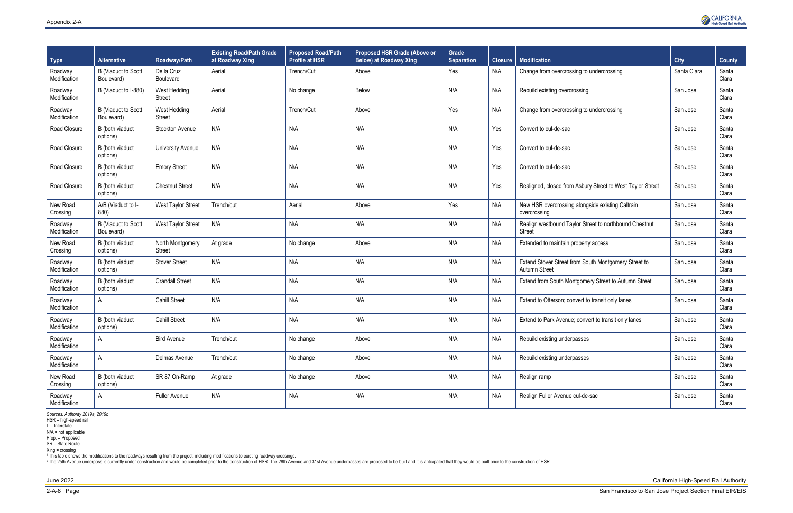June 2022 California High-Speed Rail Authority

| <b>Type</b>             | <b>Alternative</b>                       | Roadway/Path                  | <b>Existing Road/Path Grade</b><br>at Roadway Xing | Proposed Road/Path<br><b>Profile at HSR</b> | Proposed HSR Grade (Above or<br><b>Below) at Roadway Xing</b> | Grade<br><b>Separation</b> | <b>Closure</b> | <b>Modification</b>                                                          | <b>City</b> | <b>County</b>  |
|-------------------------|------------------------------------------|-------------------------------|----------------------------------------------------|---------------------------------------------|---------------------------------------------------------------|----------------------------|----------------|------------------------------------------------------------------------------|-------------|----------------|
| Roadway<br>Modification | <b>B</b> (Viaduct to Scott<br>Boulevard) | De la Cruz<br>Boulevard       | Aerial                                             | Trench/Cut                                  | Above                                                         | Yes                        | N/A            | Change from overcrossing to undercrossing                                    | Santa Clara | Santa<br>Clara |
| Roadway<br>Modification | B (Viaduct to I-880)                     | West Hedding<br>Street        | Aerial                                             | No change                                   | Below                                                         | N/A                        | N/A            | Rebuild existing overcrossing                                                | San Jose    | Santa<br>Clara |
| Roadway<br>Modification | <b>B</b> (Viaduct to Scott<br>Boulevard) | West Hedding<br><b>Street</b> | Aerial                                             | Trench/Cut                                  | Above                                                         | Yes                        | N/A            | Change from overcrossing to undercrossing                                    | San Jose    | Santa<br>Clara |
| Road Closure            | B (both viaduct<br>options)              | Stockton Avenue               | N/A                                                | N/A                                         | N/A                                                           | N/A                        | Yes            | Convert to cul-de-sac                                                        | San Jose    | Santa<br>Clara |
| Road Closure            | B (both viaduct<br>options)              | University Avenue             | N/A                                                | N/A                                         | N/A                                                           | N/A                        | Yes            | Convert to cul-de-sac                                                        | San Jose    | Santa<br>Clara |
| Road Closure            | B (both viaduct<br>options)              | <b>Emory Street</b>           | N/A                                                | N/A                                         | N/A                                                           | N/A                        | Yes            | Convert to cul-de-sac                                                        | San Jose    | Santa<br>Clara |
| Road Closure            | B (both viaduct<br>options)              | <b>Chestnut Street</b>        | N/A                                                | N/A                                         | N/A                                                           | N/A                        | Yes            | Realigned, closed from Asbury Street to West Taylor Street                   | San Jose    | Santa<br>Clara |
| New Road<br>Crossing    | A/B (Viaduct to I-<br>880)               | <b>West Taylor Street</b>     | Trench/cut                                         | Aerial                                      | Above                                                         | Yes                        | N/A            | New HSR overcrossing alongside existing Caltrain<br>overcrossing             | San Jose    | Santa<br>Clara |
| Roadway<br>Modification | <b>B</b> (Viaduct to Scott<br>Boulevard) | West Taylor Street            | N/A                                                | N/A                                         | N/A                                                           | N/A                        | N/A            | Realign westbound Taylor Street to northbound Chestnut<br><b>Street</b>      | San Jose    | Santa<br>Clara |
| New Road<br>Crossing    | B (both viaduct<br>options)              | North Montgomery<br>Street    | At grade                                           | No change                                   | Above                                                         | N/A                        | N/A            | Extended to maintain property access                                         | San Jose    | Santa<br>Clara |
| Roadway<br>Modification | B (both viaduct<br>options)              | <b>Stover Street</b>          | N/A                                                | N/A                                         | N/A                                                           | N/A                        | N/A            | Extend Stover Street from South Montgomery Street to<br><b>Autumn Street</b> | San Jose    | Santa<br>Clara |
| Roadway<br>Modification | B (both viaduct<br>options)              | <b>Crandall Street</b>        | N/A                                                | N/A                                         | N/A                                                           | N/A                        | N/A            | Extend from South Montgomery Street to Autumn Street                         | San Jose    | Santa<br>Clara |
| Roadway<br>Modification | A                                        | <b>Cahill Street</b>          | N/A                                                | N/A                                         | N/A                                                           | N/A                        | N/A            | Extend to Otterson; convert to transit only lanes                            | San Jose    | Santa<br>Clara |
| Roadway<br>Modification | B (both viaduct<br>options)              | <b>Cahill Street</b>          | N/A                                                | N/A                                         | N/A                                                           | N/A                        | N/A            | Extend to Park Avenue; convert to transit only lanes                         | San Jose    | Santa<br>Clara |
| Roadway<br>Modification | $\mathsf{A}$                             | <b>Bird Avenue</b>            | Trench/cut                                         | No change                                   | Above                                                         | N/A                        | N/A            | Rebuild existing underpasses                                                 | San Jose    | Santa<br>Clara |
| Roadway<br>Modification | $\mathsf{A}$                             | Delmas Avenue                 | Trench/cut                                         | No change                                   | Above                                                         | N/A                        | N/A            | Rebuild existing underpasses                                                 | San Jose    | Santa<br>Clara |
| New Road<br>Crossing    | B (both viaduct<br>options)              | SR 87 On-Ramp                 | At grade                                           | No change                                   | Above                                                         | N/A                        | N/A            | Realign ramp                                                                 | San Jose    | Santa<br>Clara |
| Roadway<br>Modification | A                                        | Fuller Avenue                 | N/A                                                | N/A                                         | N/A                                                           | N/A                        | N/A            | Realign Fuller Avenue cul-de-sac                                             | San Jose    | Santa<br>Clara |

*Sources: Authority 2019a, 2019b*

HSR = high-speed rail

I- = Interstate

N/A = not applicable

Prop. = Proposed SR = State Route

Xing = crossing

<sup>1</sup>This table shows the modifications to the roadways resulting from the project, including modifications to existing roadway crossings.

<sup>2</sup>The 25th Avenue underpass is currently under construction and would be completed prior to the construction of HSR. The 28th Avenue and 31st Avenue underpasses are proposed to be built and it is anticipated that they wou